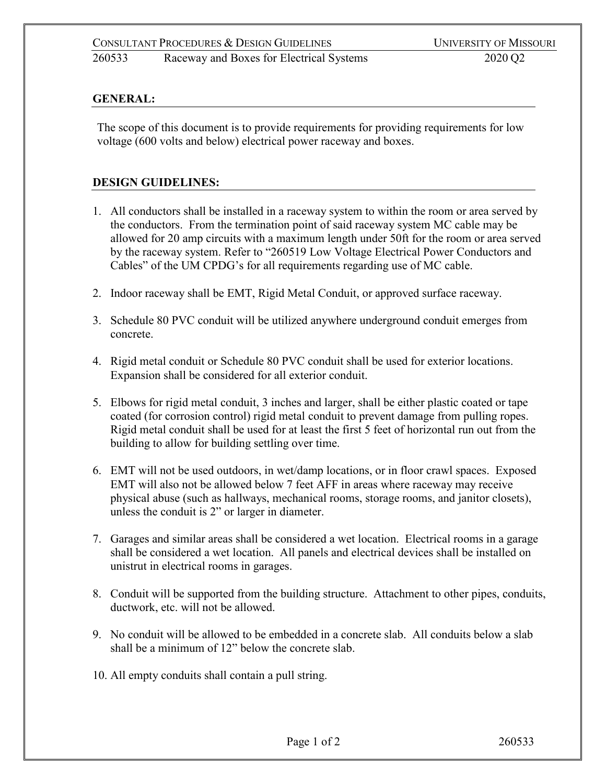## **GENERAL:**

The scope of this document is to provide requirements for providing requirements for low voltage (600 volts and below) electrical power raceway and boxes.

## **DESIGN GUIDELINES:**

- 1. All conductors shall be installed in a raceway system to within the room or area served by the conductors. From the termination point of said raceway system MC cable may be allowed for 20 amp circuits with a maximum length under 50ft for the room or area served by the raceway system. Refer to "260519 Low Voltage Electrical Power Conductors and Cables" of the UM CPDG's for all requirements regarding use of MC cable.
- 2. Indoor raceway shall be EMT, Rigid Metal Conduit, or approved surface raceway.
- 3. Schedule 80 PVC conduit will be utilized anywhere underground conduit emerges from concrete.
- 4. Rigid metal conduit or Schedule 80 PVC conduit shall be used for exterior locations. Expansion shall be considered for all exterior conduit.
- 5. Elbows for rigid metal conduit, 3 inches and larger, shall be either plastic coated or tape coated (for corrosion control) rigid metal conduit to prevent damage from pulling ropes. Rigid metal conduit shall be used for at least the first 5 feet of horizontal run out from the building to allow for building settling over time.
- 6. EMT will not be used outdoors, in wet/damp locations, or in floor crawl spaces. Exposed EMT will also not be allowed below 7 feet AFF in areas where raceway may receive physical abuse (such as hallways, mechanical rooms, storage rooms, and janitor closets), unless the conduit is 2" or larger in diameter.
- 7. Garages and similar areas shall be considered a wet location. Electrical rooms in a garage shall be considered a wet location. All panels and electrical devices shall be installed on unistrut in electrical rooms in garages.
- 8. Conduit will be supported from the building structure. Attachment to other pipes, conduits, ductwork, etc. will not be allowed.
- 9. No conduit will be allowed to be embedded in a concrete slab. All conduits below a slab shall be a minimum of 12" below the concrete slab.
- 10. All empty conduits shall contain a pull string.